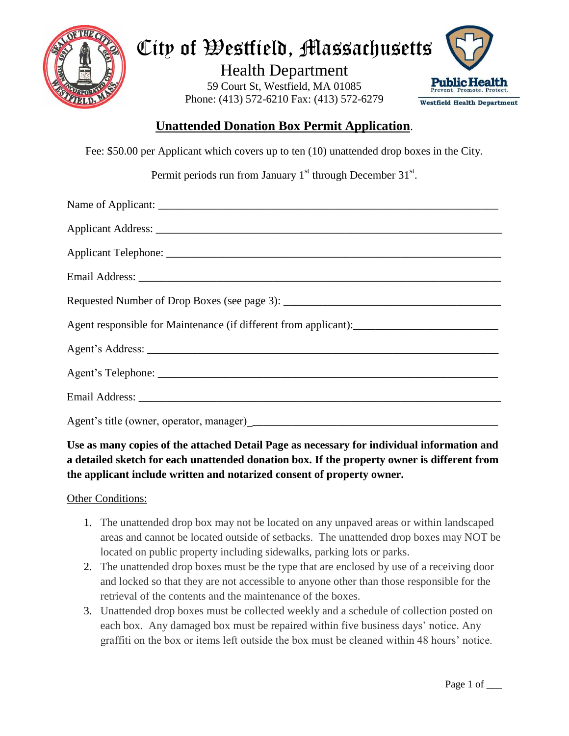

# City of Westfield, Massachusetts

Health Department 59 Court St, Westfield, MA 01085 Phone: (413) 572-6210 Fax: (413) 572-6279



## **Unattended Donation Box Permit Application**.

Fee: \$50.00 per Applicant which covers up to ten (10) unattended drop boxes in the City.

Permit periods run from January  $1<sup>st</sup>$  through December  $31<sup>st</sup>$ .

### **Use as many copies of the attached Detail Page as necessary for individual information and a detailed sketch for each unattended donation box. If the property owner is different from the applicant include written and notarized consent of property owner.**

#### Other Conditions:

- 1. The unattended drop box may not be located on any unpaved areas or within landscaped areas and cannot be located outside of setbacks. The unattended drop boxes may NOT be located on public property including sidewalks, parking lots or parks.
- 2. The unattended drop boxes must be the type that are enclosed by use of a receiving door and locked so that they are not accessible to anyone other than those responsible for the retrieval of the contents and the maintenance of the boxes.
- 3. Unattended drop boxes must be collected weekly and a schedule of collection posted on each box. Any damaged box must be repaired within five business days' notice. Any graffiti on the box or items left outside the box must be cleaned within 48 hours' notice.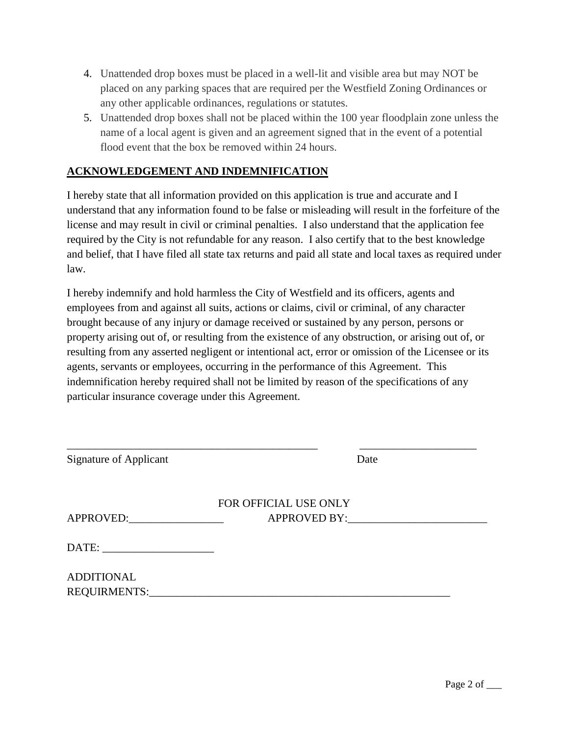- 4. Unattended drop boxes must be placed in a well-lit and visible area but may NOT be placed on any parking spaces that are required per the Westfield Zoning Ordinances or any other applicable ordinances, regulations or statutes.
- 5. Unattended drop boxes shall not be placed within the 100 year floodplain zone unless the name of a local agent is given and an agreement signed that in the event of a potential flood event that the box be removed within 24 hours.

#### **ACKNOWLEDGEMENT AND INDEMNIFICATION**

I hereby state that all information provided on this application is true and accurate and I understand that any information found to be false or misleading will result in the forfeiture of the license and may result in civil or criminal penalties. I also understand that the application fee required by the City is not refundable for any reason. I also certify that to the best knowledge and belief, that I have filed all state tax returns and paid all state and local taxes as required under law.

I hereby indemnify and hold harmless the City of Westfield and its officers, agents and employees from and against all suits, actions or claims, civil or criminal, of any character brought because of any injury or damage received or sustained by any person, persons or property arising out of, or resulting from the existence of any obstruction, or arising out of, or resulting from any asserted negligent or intentional act, error or omission of the Licensee or its agents, servants or employees, occurring in the performance of this Agreement. This indemnification hereby required shall not be limited by reason of the specifications of any particular insurance coverage under this Agreement.

| <b>Signature of Applicant</b> |                       | Date         |  |
|-------------------------------|-----------------------|--------------|--|
|                               | FOR OFFICIAL USE ONLY |              |  |
| APPROVED:                     |                       | APPROVED BY: |  |
|                               |                       |              |  |
| <b>ADDITIONAL</b>             |                       |              |  |
| REQUIRMENTS:                  |                       |              |  |

\_\_\_\_\_\_\_\_\_\_\_\_\_\_\_\_\_\_\_\_\_\_\_\_\_\_\_\_\_\_\_\_\_\_\_\_\_\_\_\_\_\_\_\_\_ \_\_\_\_\_\_\_\_\_\_\_\_\_\_\_\_\_\_\_\_\_